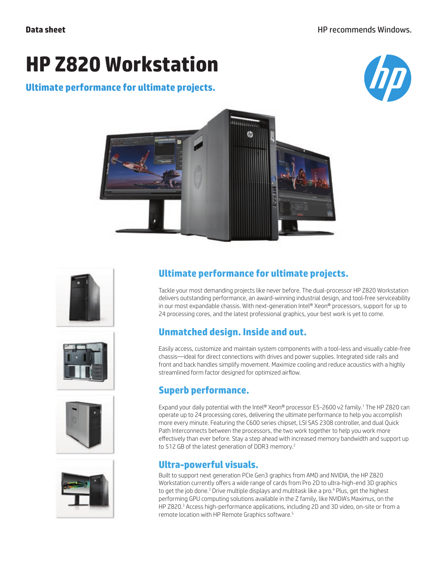# **HP Z820 Workstation**

### **Ultimate performance for ultimate projects.**













# **Ultimate performance for ultimate projects.**

Tackle your most demanding projects like never before. The dual-processor HP Z820 Workstation delivers outstanding performance, an award-winning industrial design, and tool-free serviceability in our most expandable chassis. With next-generation Intel® Xeon® processors, support for up to 24 processing cores, and the latest professional graphics, your best work is yet to come.

# **Unmatched design. Inside and out.**

Easily access, customize and maintain system components with a tool-less and visually cable-free chassis—ideal for direct connections with drives and power supplies. Integrated side rails and front and back handles simplify movement. Maximize cooling and reduce acoustics with a highly streamlined form factor designed for optimized airflow.

# **Superb performance.**

Expand your daily potential with the Intel® Xeon® processor E5-2600 v2 family.1 The HP Z820 can operate up to 24 processing cores, delivering the ultimate performance to help you accomplish more every minute. Featuring the C600 series chipset, LSI SAS 2308 controller, and dual Quick Path Interconnects between the processors, the two work together to help you work more effectively than ever before. Stay a step ahead with increased memory bandwidth and support up to 512 GB of the latest generation of DDR3 memory.<sup>2</sup>

### **Ultra-powerful visuals.**

Built to support next generation PCIe Gen3 graphics from AMD and NVIDIA, the HP Z820 Workstation currently offers a wide range of cards from Pro 2D to ultra-high-end 3D graphics to get the job done.<sup>3</sup> Drive multiple displays and multitask like a pro.<sup>4</sup> Plus, get the highest performing GPU computing solutions available in the Z family, like NVIDIA's Maximus, on the HP Z820.<sup>3</sup> Access high-performance applications, including 2D and 3D video, on-site or from a remote location with HP Remote Graphics software.5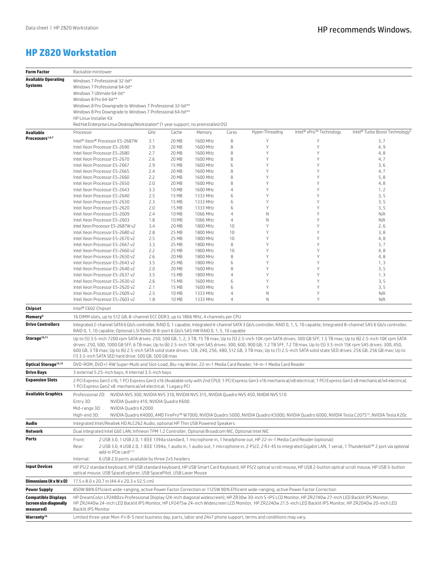#### **HP Z820 Workstation**

| <b>Form Factor</b>                                                 | Rackable minitower                                                                                                                                                                                                                                                                                                                                                                                                                                                                                                                                                                                  |                                                                                                                       |                |                      |          |                 |                         |                                            |  |
|--------------------------------------------------------------------|-----------------------------------------------------------------------------------------------------------------------------------------------------------------------------------------------------------------------------------------------------------------------------------------------------------------------------------------------------------------------------------------------------------------------------------------------------------------------------------------------------------------------------------------------------------------------------------------------------|-----------------------------------------------------------------------------------------------------------------------|----------------|----------------------|----------|-----------------|-------------------------|--------------------------------------------|--|
| <b>Available Operating</b>                                         | Windows 7 Professional 32-bit*                                                                                                                                                                                                                                                                                                                                                                                                                                                                                                                                                                      |                                                                                                                       |                |                      |          |                 |                         |                                            |  |
| <b>Systems</b>                                                     | Windows 7 Professional 64-bit*                                                                                                                                                                                                                                                                                                                                                                                                                                                                                                                                                                      |                                                                                                                       |                |                      |          |                 |                         |                                            |  |
|                                                                    | Windows 7 Ultimate 64-bit*                                                                                                                                                                                                                                                                                                                                                                                                                                                                                                                                                                          |                                                                                                                       |                |                      |          |                 |                         |                                            |  |
|                                                                    | Windows 8 Pro 64-bit**                                                                                                                                                                                                                                                                                                                                                                                                                                                                                                                                                                              |                                                                                                                       |                |                      |          |                 |                         |                                            |  |
|                                                                    | Windows 8 Pro Downgrade to Windows 7 Professional 32-bit**<br>Windows 8 Pro Downgrade to Windows 7 Professional 64-bit**<br>HP Linux Installer Kit                                                                                                                                                                                                                                                                                                                                                                                                                                                  |                                                                                                                       |                |                      |          |                 |                         |                                            |  |
|                                                                    |                                                                                                                                                                                                                                                                                                                                                                                                                                                                                                                                                                                                     |                                                                                                                       |                |                      |          |                 |                         |                                            |  |
|                                                                    | Red Hat Enterprise Linux Desktop/Workstation* (1 year support; no preinstalled OS)                                                                                                                                                                                                                                                                                                                                                                                                                                                                                                                  |                                                                                                                       |                |                      |          |                 |                         |                                            |  |
| Available<br>Processors <sup>1,6,7</sup>                           | Processor                                                                                                                                                                                                                                                                                                                                                                                                                                                                                                                                                                                           | GHz                                                                                                                   | Cache          | Memory               | Cores    | Hyper-Threading | Intel® vPro™ Technology | Intel® Turbo Boost Technology <sup>8</sup> |  |
|                                                                    | Intel® Xeon® Processor E5-2687W                                                                                                                                                                                                                                                                                                                                                                                                                                                                                                                                                                     | 3.1                                                                                                                   | 20 MB          | 1600 MHz             | 8        |                 | Υ                       | 3,7                                        |  |
|                                                                    | Intel Xeon Processor E5-2690                                                                                                                                                                                                                                                                                                                                                                                                                                                                                                                                                                        | 2.9<br>2.7                                                                                                            | 20 MB          | 1600 MHz<br>1600 MHz | 8        | Υ<br>Y          | Υ<br>Y                  | 4, 9                                       |  |
|                                                                    | Intel Xeon Processor E5-2680<br>Intel Xeon Processor E5-2670                                                                                                                                                                                                                                                                                                                                                                                                                                                                                                                                        | 2.6                                                                                                                   | 20 MB<br>20 MB | 1600 MHz             | 8<br>8   | Y               | Υ                       | 4,8<br>4, 7                                |  |
|                                                                    | Intel Xeon Processor E5-2667                                                                                                                                                                                                                                                                                                                                                                                                                                                                                                                                                                        | 2.9                                                                                                                   | 15 MB          | 1600 MHz             | 6        | Υ               | Y                       | 3, 6                                       |  |
|                                                                    | Intel Xeon Processor E5-2665                                                                                                                                                                                                                                                                                                                                                                                                                                                                                                                                                                        | 2.4                                                                                                                   | 20 MB          | 1600 MHz             | 8        | γ               | Υ                       | 4, 7                                       |  |
|                                                                    | Intel Xeon Processor E5-2660                                                                                                                                                                                                                                                                                                                                                                                                                                                                                                                                                                        | 2.2                                                                                                                   | 20 MB          | 1600 MHz             | 8        | γ               | Υ                       | 5, 8                                       |  |
|                                                                    | Intel Xeon Processor E5-2650                                                                                                                                                                                                                                                                                                                                                                                                                                                                                                                                                                        | 2.0                                                                                                                   | 20 MB          | 1600 MHz             | 8        | Υ               | Υ                       | 4,8                                        |  |
|                                                                    | Intel Xeon Processor E5-2643<br>Intel Xeon Processor E5-2640                                                                                                                                                                                                                                                                                                                                                                                                                                                                                                                                        | 3.3<br>2.5                                                                                                            | 10 MB<br>15 MB | 1600 MHz<br>1333 MHz | 4<br>6   | γ<br>γ          | Υ<br>Υ                  | 1, 2<br>3, 5                               |  |
|                                                                    | Intel Xeon Processor E5-2630                                                                                                                                                                                                                                                                                                                                                                                                                                                                                                                                                                        | 2.3                                                                                                                   | 15 MB          | 1333 MHz             | 6        | γ               | Υ                       | 3, 5                                       |  |
|                                                                    | Intel Xeon Processor E5-2620                                                                                                                                                                                                                                                                                                                                                                                                                                                                                                                                                                        | 2.0                                                                                                                   | 15 MB          | 1333 MHz             | 6        | γ               | Υ                       | 3, 5                                       |  |
|                                                                    | Intel Xeon Processor E5-2609                                                                                                                                                                                                                                                                                                                                                                                                                                                                                                                                                                        | 2.4                                                                                                                   | 10 MB          | 1066 MHz             | 4        | Ν               | Υ                       | N/A                                        |  |
|                                                                    | Intel Xeon Processor E5-2603                                                                                                                                                                                                                                                                                                                                                                                                                                                                                                                                                                        | 1.8                                                                                                                   | 10 MB          | 1066 MHz             | 4        | Ν               | Υ                       | N/A                                        |  |
|                                                                    | Intel Xeon Processor E5-2687W v2                                                                                                                                                                                                                                                                                                                                                                                                                                                                                                                                                                    | 3.4                                                                                                                   | 20 MB          | 1800 MHz             | 10<br>10 | γ<br>γ          | Υ<br>Υ                  | 2,6                                        |  |
|                                                                    | Intel Xeon Processor E5-2680 v2<br>Intel Xeon Processor E5-2670 v2                                                                                                                                                                                                                                                                                                                                                                                                                                                                                                                                  | 2.8<br>2.5                                                                                                            | 25 MB<br>25 MB | 1800 MHz<br>1800 MHz | 10       | γ               | Υ                       | 3, 8<br>4,8                                |  |
|                                                                    | Intel Xeon Processor E5-2667 v2                                                                                                                                                                                                                                                                                                                                                                                                                                                                                                                                                                     | 3.3                                                                                                                   | 25 MB          | 1800 MHz             | 8        | γ               | Υ                       | 3,7                                        |  |
|                                                                    | Intel Xeon Processor E5-2660 v2                                                                                                                                                                                                                                                                                                                                                                                                                                                                                                                                                                     | 2.2                                                                                                                   | 25 MB          | 1800 MHz             | 10       | γ               | Υ                       | 4,8                                        |  |
|                                                                    | Intel Xeon Processor E5-2650 v2                                                                                                                                                                                                                                                                                                                                                                                                                                                                                                                                                                     | 2.6                                                                                                                   | 20 MB          | 1800 MHz             | 8        | Υ               | Υ                       | 4,8                                        |  |
|                                                                    | Intel Xeon Processor E5-2643 v2                                                                                                                                                                                                                                                                                                                                                                                                                                                                                                                                                                     | 3.5                                                                                                                   | 25 MB          | 1800 MHz             | 6        | γ               | Υ                       | 1, 3                                       |  |
|                                                                    | Intel Xeon Processor E5-2640 v2<br>Intel Xeon Processor E5-2637 v2                                                                                                                                                                                                                                                                                                                                                                                                                                                                                                                                  | 2.0<br>3.5                                                                                                            | 20 MB<br>15 MB | 1600 MHz<br>1800 MHz | 8<br>4   | γ<br>γ          | Υ<br>Υ                  | 3, 5<br>1, 3                               |  |
|                                                                    | Intel Xeon Processor E5-2630 v2                                                                                                                                                                                                                                                                                                                                                                                                                                                                                                                                                                     | 2.6                                                                                                                   | 15 MB          | 1600 MHz             | 6        | V               | Υ                       | 3, 5                                       |  |
|                                                                    | Intel Xeon Processor E5-2620 v2                                                                                                                                                                                                                                                                                                                                                                                                                                                                                                                                                                     | 2.1                                                                                                                   | 15 MB          | 1600 MHz             | 6        | γ               | Υ                       | 3, 5                                       |  |
|                                                                    | Intel Xeon Processor E5-2609 v2                                                                                                                                                                                                                                                                                                                                                                                                                                                                                                                                                                     | 2.5                                                                                                                   | 10 MB          | 1333 MHz             | 4        | Ν               | Υ                       | N/A                                        |  |
|                                                                    | Intel Xeon Processor E5-2603 v2                                                                                                                                                                                                                                                                                                                                                                                                                                                                                                                                                                     | 1.8                                                                                                                   | 10 MB          | 1333 MHz             | 4        | N               | Υ                       | N/A                                        |  |
| Chipset                                                            | Intel® C602 Chipset                                                                                                                                                                                                                                                                                                                                                                                                                                                                                                                                                                                 |                                                                                                                       |                |                      |          |                 |                         |                                            |  |
| <b>Memory</b> <sup>9</sup>                                         | 16 DIMM slots, up to 512 GB, 8-channel ECC DDR3, up to 1866 MHz, 4 channels per CPU                                                                                                                                                                                                                                                                                                                                                                                                                                                                                                                 |                                                                                                                       |                |                      |          |                 |                         |                                            |  |
| <b>Drive Controllers</b>                                           | Integrated 2-channel SATA 6 Gb/s controller, RAID 0, 1 capable; Integrated 4-channel SATA 3 Gb/s controller, RAID 0, 1, 5, 10 capable; Integrated 8-channel SAS 6 Gb/s controller,<br>RAID 0, 1, 10 capable; Optional LSI 9260-8i 8-port 6 Gb/s SAS HW RAID 0, 1, 5, 10 capable                                                                                                                                                                                                                                                                                                                     |                                                                                                                       |                |                      |          |                 |                         |                                            |  |
| Storage <sup>10,11</sup>                                           | Up to (5) 3.5-inch 7200 rpm SATA drives: 250, 500 GB, 1, 2, 3 TB, 15 TB max; Up to (5) 2.5-inch 10K rpm SATA drives: 300 GB SFF, 1.5 TB max; Up to (6) 2.5-inch 10K rpm SATA<br>drives: 250, 500, 1000 GB SFF, 6 TB max; Up to (6) 2.5-inch 10K rpm SAS drives: 300, 600, 900 GB, 1.2 TB SFF, 7.2 TB max; Up to (5) 3.5-inch 15K rpm SAS drives: 300, 450,<br>600 GB, 3 TB max; Up to (6) 2.5-inch SATA solid state drives: 128, 240, 256, 480, 512 GB, 3 TB max; Up to (1) 2.5-inch SATA solid state SED drives: 256 GB, 256 GB max; Up to<br>(1) 3.5-inch SATA SED hard drive: 500 GB, 500 GB max |                                                                                                                       |                |                      |          |                 |                         |                                            |  |
| Optical Storage <sup>12,13</sup>                                   | DVD-ROM, DVD+/-RW Super-Multi and Slot-Load, Blu-ray Writer, 22-in-1 Media Card Reader, 14-in-1 Media Card Reader                                                                                                                                                                                                                                                                                                                                                                                                                                                                                   |                                                                                                                       |                |                      |          |                 |                         |                                            |  |
| <b>Drive Bays</b>                                                  | 3 external 5.25-inch bays, 4 internal 3.5-inch bays                                                                                                                                                                                                                                                                                                                                                                                                                                                                                                                                                 |                                                                                                                       |                |                      |          |                 |                         |                                            |  |
| <b>Expansion Slots</b>                                             | 2 PCI Express Gen3 x16; 1 PCI Express Gen3 x16 (Available only with 2nd CPU); 1 PCI Express Gen3 x16 mechanical/x8 electrical; 1 PCI Express Gen3 x8 mechanical/x4 electrical;<br>1 PCI Express Gen2 x8 mechanical/x4 electrical; 1 Legacy PCI                                                                                                                                                                                                                                                                                                                                                      |                                                                                                                       |                |                      |          |                 |                         |                                            |  |
| <b>Available Graphics</b>                                          | Professional 2D: NVIDIA NVS 300, NVIDIA NVS 310, NVIDIA NVS 315, NVIDIA Quadro NVS 450, NVIDIA NVS 510                                                                                                                                                                                                                                                                                                                                                                                                                                                                                              |                                                                                                                       |                |                      |          |                 |                         |                                            |  |
|                                                                    | Entry 3D:<br>NVIDIA Quadro 410, NVIDIA Quadro K600                                                                                                                                                                                                                                                                                                                                                                                                                                                                                                                                                  |                                                                                                                       |                |                      |          |                 |                         |                                            |  |
|                                                                    | Mid-range 3D:<br>NVIDIA Quadro K2000                                                                                                                                                                                                                                                                                                                                                                                                                                                                                                                                                                |                                                                                                                       |                |                      |          |                 |                         |                                            |  |
|                                                                    | High-end 3D:<br>NVIDIA Quadro K4000, AMD FirePro™ W7000, NVIDIA Quadro 5000, NVIDIA Quadro K5000, NVIDIA Quadro 6000, NVIDIA Tesla C207514, NVIDIA Tesla K20c                                                                                                                                                                                                                                                                                                                                                                                                                                       |                                                                                                                       |                |                      |          |                 |                         |                                            |  |
| Audio                                                              | Integrated Intel/Realtek HD ALC262 Audio, optional HP Thin USB Powered Speakers                                                                                                                                                                                                                                                                                                                                                                                                                                                                                                                     |                                                                                                                       |                |                      |          |                 |                         |                                            |  |
| <b>Network</b>                                                     | Dual integrated Intel GbE LAN; Infineon TPM 1.2 Controller; Optional Broadcom NIC; Optional Intel NIC                                                                                                                                                                                                                                                                                                                                                                                                                                                                                               |                                                                                                                       |                |                      |          |                 |                         |                                            |  |
| Ports                                                              | 2 USB 3.0, 1 USB 2.0, 1 IEEE 1394a standard, 1 microphone in, 1 headphone out, HP 22-in-1 Media Card Reader (optional)<br>Front:                                                                                                                                                                                                                                                                                                                                                                                                                                                                    |                                                                                                                       |                |                      |          |                 |                         |                                            |  |
|                                                                    | 2 USB 3.0, 4 USB 2.0, 1 IEEE 1394a, 1 audio in, 1 audio out, 1 microphone in, 2 PS/2, 2 RJ-45 to integrated Gigabit LAN, 1 serial, 1 Thunderbolt™ 2 port via optional<br>Rear:<br>add-in PCIe card <sup>3,15</sup>                                                                                                                                                                                                                                                                                                                                                                                  |                                                                                                                       |                |                      |          |                 |                         |                                            |  |
|                                                                    | 6 USB 2.0 ports available by three 2x5 headers<br>Internal:                                                                                                                                                                                                                                                                                                                                                                                                                                                                                                                                         |                                                                                                                       |                |                      |          |                 |                         |                                            |  |
| <b>Input Devices</b>                                               | HP PS/2 standard keyboard, HP USB standard keyboard, HP USB Smart Card Keyboard, HP PS/2 optical scroll mouse, HP USB 2-button optical scroll mouse, HP USB 3-button<br>optical mouse, USB SpaceExplorer, USB SpacePilot, USB Laser Mouse                                                                                                                                                                                                                                                                                                                                                           |                                                                                                                       |                |                      |          |                 |                         |                                            |  |
| Dimensions (H x W x D)                                             | 17.5 x 8.0 x 20.7 in (44.4 x 20.3 x 52.5 cm)                                                                                                                                                                                                                                                                                                                                                                                                                                                                                                                                                        |                                                                                                                       |                |                      |          |                 |                         |                                            |  |
| <b>Power Supply</b>                                                | 850W 88% Efficient wide-ranging, active Power Factor Correction or 1125W 90% Efficient wide-ranging, active Power Factor Correction                                                                                                                                                                                                                                                                                                                                                                                                                                                                 |                                                                                                                       |                |                      |          |                 |                         |                                            |  |
| <b>Compatible Displays</b><br>(screen size diagonally<br>measured) | HP DreamColor LP2480zx Professional Display (24-inch diagonal widescreen), HP ZR30w 30-inch S-IPS LCD Monitor, HP ZR2740w 27-inch LED Backlit IPS Monitor,<br>HP ZR2440w 24-inch LED Backlit IPS Monitor, HP LP2475w 24-inch Widescreen LCD Monitor, HP ZR2240w 21.5-inch LED Backlit IPS Monitor, HP ZR2040w 20-inch LED<br>Backlit IPS Monitor                                                                                                                                                                                                                                                    |                                                                                                                       |                |                      |          |                 |                         |                                            |  |
| Warranty <sup>16</sup>                                             |                                                                                                                                                                                                                                                                                                                                                                                                                                                                                                                                                                                                     | Limited three-year Mon-Fri 8-5 next business day, parts, labor and 24x7 phone support, terms and conditions may vary. |                |                      |          |                 |                         |                                            |  |